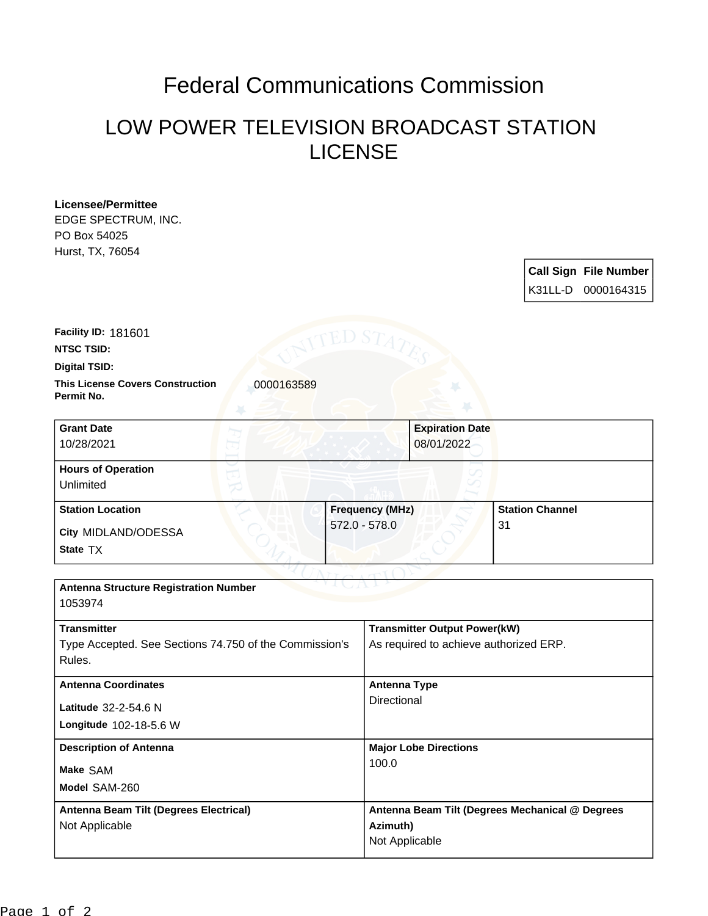## Federal Communications Commission

## LOW POWER TELEVISION BROADCAST STATION LICENSE

| <b>Licensee/Permittee</b><br>EDGE SPECTRUM, INC.<br>PO Box 54025 |                                           |                      |                                        |                                      |                                                 |                              |
|------------------------------------------------------------------|-------------------------------------------|----------------------|----------------------------------------|--------------------------------------|-------------------------------------------------|------------------------------|
| Hurst, TX, 76054                                                 |                                           |                      |                                        |                                      |                                                 |                              |
|                                                                  |                                           |                      |                                        |                                      |                                                 | <b>Call Sign File Number</b> |
|                                                                  |                                           |                      |                                        |                                      |                                                 | K31LL-D 0000164315           |
| Facility ID: 181601                                              |                                           | 'ED S $T_{\!\times}$ |                                        |                                      |                                                 |                              |
| <b>NTSC TSID:</b>                                                |                                           |                      |                                        |                                      |                                                 |                              |
| <b>Digital TSID:</b>                                             |                                           |                      |                                        |                                      |                                                 |                              |
| <b>This License Covers Construction</b><br>Permit No.            | 0000163589                                |                      |                                        |                                      |                                                 |                              |
| <b>Grant Date</b><br>10/28/2021                                  |                                           |                      |                                        | <b>Expiration Date</b><br>08/01/2022 |                                                 |                              |
| <b>Hours of Operation</b><br>Unlimited                           |                                           |                      |                                        |                                      |                                                 |                              |
| <b>Station Location</b><br>City MIDLAND/ODESSA<br>State TX       | <b>Frequency (MHz)</b><br>$572.0 - 578.0$ |                      |                                        |                                      | <b>Station Channel</b><br>31                    |                              |
|                                                                  |                                           |                      |                                        |                                      |                                                 |                              |
| <b>Antenna Structure Registration Number</b><br>1053974          |                                           |                      |                                        |                                      |                                                 |                              |
| <b>Transmitter</b>                                               |                                           |                      |                                        | <b>Transmitter Output Power(kW)</b>  |                                                 |                              |
| Type Accepted. See Sections 74.750 of the Commission's<br>Rules. |                                           |                      | As required to achieve authorized ERP. |                                      |                                                 |                              |
| <b>Antenna Coordinates</b>                                       |                                           |                      | <b>Antenna Type</b>                    |                                      |                                                 |                              |
| Latitude 32-2-54.6 N<br>Longitude 102-18-5.6 W                   |                                           |                      | Directional                            |                                      |                                                 |                              |
| <b>Description of Antenna</b>                                    |                                           |                      |                                        | <b>Major Lobe Directions</b>         |                                                 |                              |
| Make SAM                                                         |                                           |                      | 100.0                                  |                                      |                                                 |                              |
| Model SAM-260                                                    |                                           |                      |                                        |                                      |                                                 |                              |
| Antenna Beam Tilt (Degrees Electrical)                           |                                           |                      |                                        |                                      | Antenna Beam Tilt (Degrees Mechanical @ Degrees |                              |
| Not Applicable                                                   |                                           |                      | Azimuth)                               |                                      |                                                 |                              |
|                                                                  |                                           |                      | Not Applicable                         |                                      |                                                 |                              |